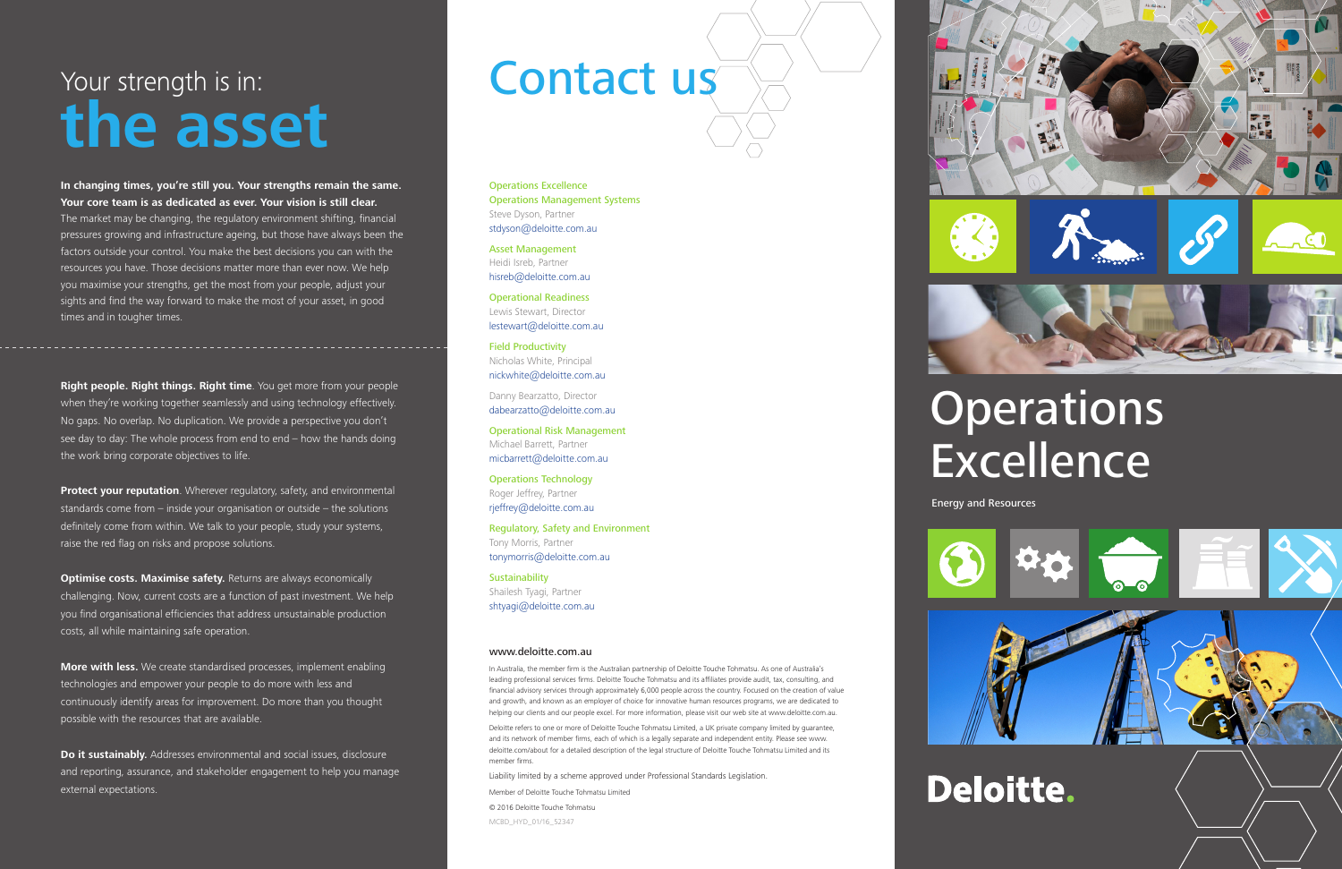**In changing times, you're still you. Your strengths remain the same. Your core team is as dedicated as ever. Your vision is still clear.** The market may be changing, the regulatory environment shifting, financial pressures growing and infrastructure ageing, but those have always been the factors outside your control. You make the best decisions you can with the resources you have. Those decisions matter more than ever now. We help you maximise your strengths, get the most from your people, adjust your sights and find the way forward to make the most of your asset, in good times and in tougher times.

**Protect your reputation**. Wherever regulatory, safety, and environmental standards come from – inside your organisation or outside – the solutions definitely come from within. We talk to your people, study your systems, raise the red flag on risks and propose solutions.

**Optimise costs. Maximise safety.** Returns are always economically challenging. Now, current costs are a function of past investment. We help you find organisational efficiencies that address unsustainable production costs, all while maintaining safe operation.

**Right people. Right things. Right time**. You get more from your people when they're working together seamlessly and using technology effectively. No gaps. No overlap. No duplication. We provide a perspective you don't see day to day: The whole process from end to end – how the hands doing the work bring corporate objectives to life.

**More with less.** We create standardised processes, implement enabling technologies and empower your people to do more with less and continuously identify areas for improvement. Do more than you thought possible with the resources that are available.

**Do it sustainably.** Addresses environmental and social issues, disclosure and reporting, assurance, and stakeholder engagement to help you manage external expectations.

#### Your strength is in: **the asset**

**Sustainability** Shailesh Tyagi, Partner shtyagi@deloitte.com.au Energy and Resources

Operations Excellence Operations Management Systems Steve Dyson, Partner stdyson@deloitte.com.au

Asset Management Heidi Isreb, Partner hisreb@deloitte.com.au

Operational Readiness Lewis Stewart, Director lestewart@deloitte.com.au

Field Productivity Nicholas White, Principal nickwhite@deloitte.com.au

Danny Bearzatto, Director dabearzatto@deloitte.com.au

Operational Risk Management Michael Barrett, Partner micbarrett@deloitte.com.au

Operations Technology Roger Jeffrey, Partner rjeffrey@deloitte.com.au

Regulatory, Safety and Environment Tony Morris, Partner tonymorris@deloitte.com.au

#### www.deloitte.com.au

In Australia, the member firm is the Australian partnership of Deloitte Touche Tohmatsu. As one of Australia's leading professional services firms. Deloitte Touche Tohmatsu and its affiliates provide audit, tax, consulting, and financial advisory services through approximately 6,000 people across the country. Focused on the creation of value and growth, and known as an employer of choice for innovative human resources programs, we are dedicated to helping our clients and our people excel. For more information, please visit our web site at www.deloitte.com.au.

Deloitte refers to one or more of Deloitte Touche Tohmatsu Limited, a UK private company limited by guarantee, and its network of member firms, each of which is a legally separate and independent entity. Please see www. deloitte.com/about for a detailed description of the legal structure of Deloitte Touche Tohmatsu Limited and its member firms.

Liability limited by a scheme approved under Professional Standards Legislation.

Member of Deloitte Touche Tohmatsu Limited

© 2016 Deloitte Touche Tohmatsu MCBD\_HYD\_01/16\_52347









## **Operations Excellence**

#### Contact us